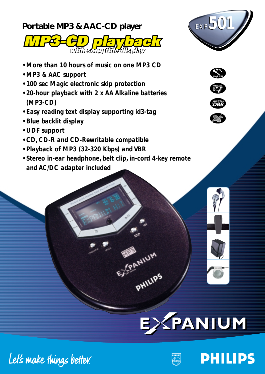## **Portable MP3 & AAC-CD player** *EXP EXP501*  $R$ n Evir with song fitle display

- 
- *More than 10 hours of music on one MP3 CD*
- *MP3 & AAC support*
- *100 sec Magic electronic skip protection*
- *20-hour playback with 2 x AA Alkaline batteries (MP3-CD)*
- *Easy reading text display supporting id3-tag*
- *Blue backlit display*
- *UDF support*
- *CD, CD-R and CD-Rewritable compatible*
- *Playback of MP3 (32-320 Kbps) and VBR*
- *Stereo in-ear headphone, belt clip, in-cord 4-key remote and AC/DC adapter included*



**Magic ESP**





**PHILIPS** 





PHILIPS PHILIPS